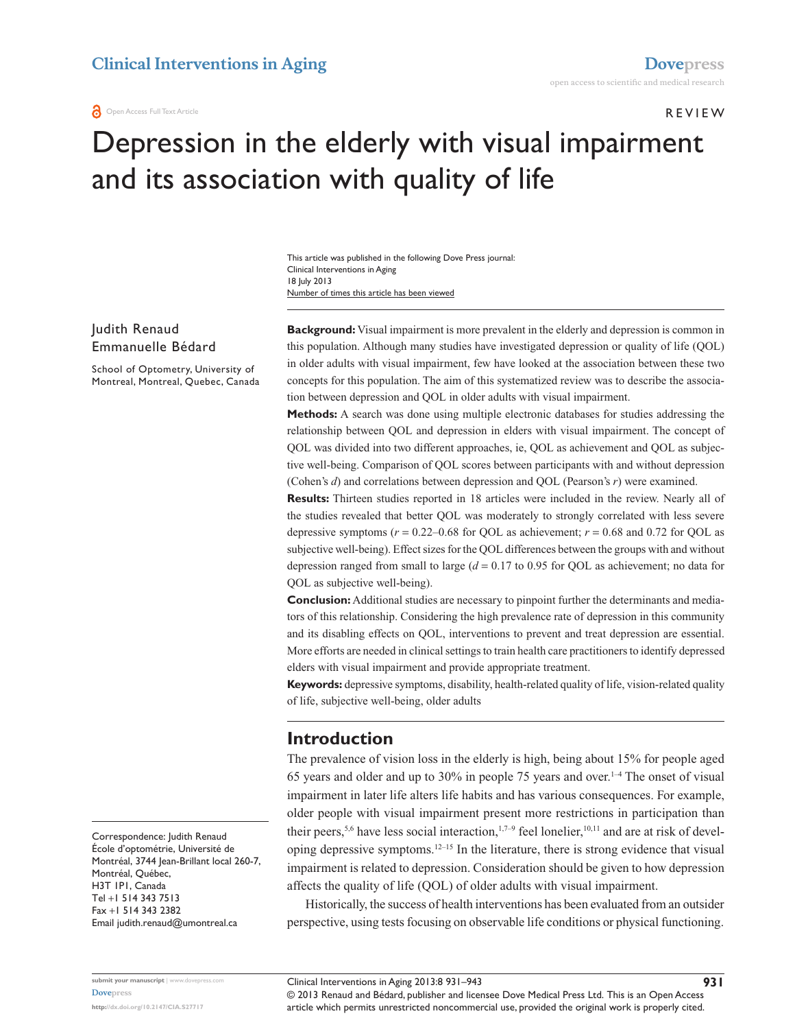#### R e v ie w

# Depression in the elderly with visual impairment and its association with quality of life

Number of times this article has been viewed This article was published in the following Dove Press journal: Clinical Interventions in Aging 18 July 2013

Judith Renaud Emmanuelle Bédard

School of Optometry, University of Montreal, Montreal, Quebec, Canada **Background:** Visual impairment is more prevalent in the elderly and depression is common in this population. Although many studies have investigated depression or quality of life (QOL) in older adults with visual impairment, few have looked at the association between these two concepts for this population. The aim of this systematized review was to describe the association between depression and QOL in older adults with visual impairment.

**Methods:** A search was done using multiple electronic databases for studies addressing the relationship between QOL and depression in elders with visual impairment. The concept of QOL was divided into two different approaches, ie, QOL as achievement and QOL as subjective well-being. Comparison of QOL scores between participants with and without depression (Cohen's *d*) and correlations between depression and QOL (Pearson's *r*) were examined.

**Results:** Thirteen studies reported in 18 articles were included in the review. Nearly all of the studies revealed that better QOL was moderately to strongly correlated with less severe depressive symptoms ( $r = 0.22 - 0.68$  for QOL as achievement;  $r = 0.68$  and 0.72 for QOL as subjective well-being). Effect sizes for the QOL differences between the groups with and without depression ranged from small to large  $(d = 0.17 \text{ to } 0.95 \text{ for QOL}$  as achievement; no data for QOL as subjective well-being).

**Conclusion:** Additional studies are necessary to pinpoint further the determinants and mediators of this relationship. Considering the high prevalence rate of depression in this community and its disabling effects on QOL, interventions to prevent and treat depression are essential. More efforts are needed in clinical settings to train health care practitioners to identify depressed elders with visual impairment and provide appropriate treatment.

**Keywords:** depressive symptoms, disability, health-related quality of life, vision-related quality of life, subjective well-being, older adults

### **Introduction**

The prevalence of vision loss in the elderly is high, being about 15% for people aged 65 years and older and up to 30% in people 75 years and over.<sup>1-4</sup> The onset of visual impairment in later life alters life habits and has various consequences. For example, older people with visual impairment present more restrictions in participation than their peers,<sup>5,6</sup> have less social interaction,<sup>1,7-9</sup> feel lonelier,<sup>10,11</sup> and are at risk of developing depressive symptoms.12–15 In the literature, there is strong evidence that visual impairment is related to depression. Consideration should be given to how depression affects the quality of life (QOL) of older adults with visual impairment.

Historically, the success of health interventions has been evaluated from an outsider perspective, using tests focusing on observable life conditions or physical functioning.

Correspondence: Judith Renaud École d'optométrie, Université de Montréal, 3744 Jean-Brillant local 260-7, Montréal, Québec, H3T 1P1, Canada Tel +1 514 343 7513 Fax +1 514 343 2382 Email [judith.renaud@umontreal.ca](mailto:judith.renaud@umontreal.ca)

© 2013 Renaud and Bédard, publisher and licensee Dove Medical Press Ltd. This is an Open Access article which permits unrestricted noncommercial use, provided the original work is properly cited.

**submit your manuscript** | <www.dovepress.com> **[Dovepress](www.dovepress.com)**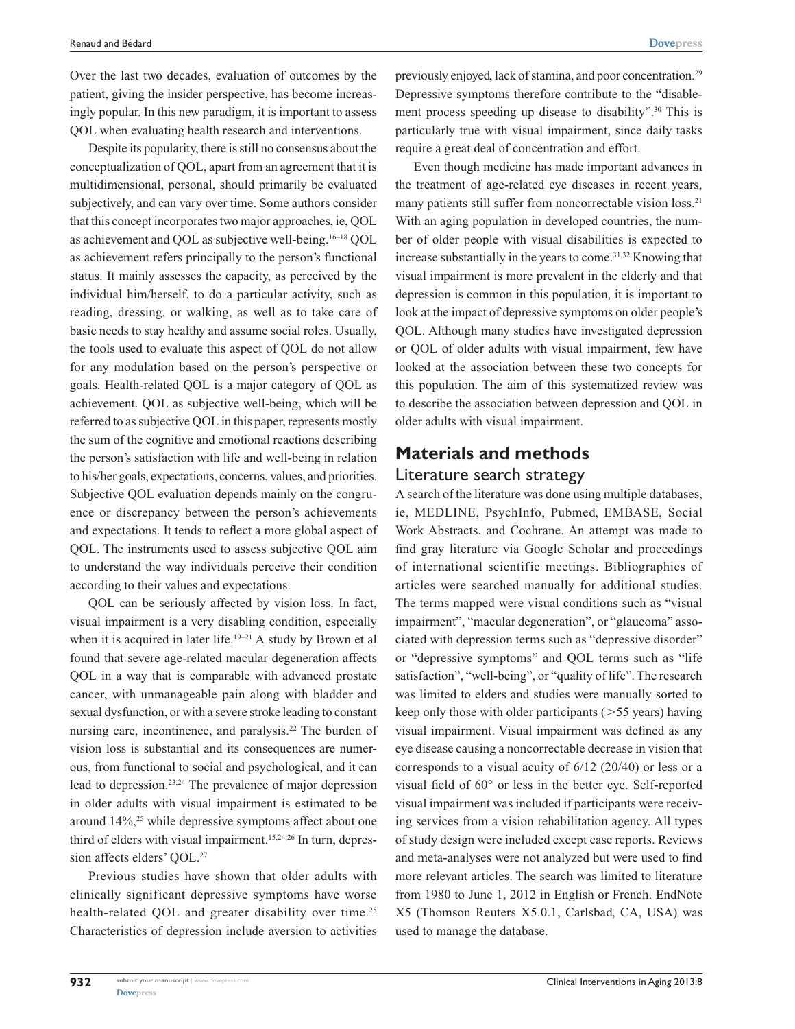Over the last two decades, evaluation of outcomes by the patient, giving the insider perspective, has become increasingly popular. In this new paradigm, it is important to assess QOL when evaluating health research and interventions.

Despite its popularity, there is still no consensus about the conceptualization of QOL, apart from an agreement that it is multidimensional, personal, should primarily be evaluated subjectively, and can vary over time. Some authors consider that this concept incorporates two major approaches, ie, QOL as achievement and QOL as subjective well-being.16–18 QOL as achievement refers principally to the person's functional status. It mainly assesses the capacity, as perceived by the individual him/herself, to do a particular activity, such as reading, dressing, or walking, as well as to take care of basic needs to stay healthy and assume social roles. Usually, the tools used to evaluate this aspect of QOL do not allow for any modulation based on the person's perspective or goals. Health-related QOL is a major category of QOL as achievement. QOL as subjective well-being, which will be referred to as subjective QOL in this paper, represents mostly the sum of the cognitive and emotional reactions describing the person's satisfaction with life and well-being in relation to his/her goals, expectations, concerns, values, and priorities. Subjective QOL evaluation depends mainly on the congruence or discrepancy between the person's achievements and expectations. It tends to reflect a more global aspect of QOL. The instruments used to assess subjective QOL aim to understand the way individuals perceive their condition according to their values and expectations.

QOL can be seriously affected by vision loss. In fact, visual impairment is a very disabling condition, especially when it is acquired in later life.<sup>19-21</sup> A study by Brown et al found that severe age-related macular degeneration affects QOL in a way that is comparable with advanced prostate cancer, with unmanageable pain along with bladder and sexual dysfunction, or with a severe stroke leading to constant nursing care, incontinence, and paralysis.<sup>22</sup> The burden of vision loss is substantial and its consequences are numerous, from functional to social and psychological, and it can lead to depression.23,24 The prevalence of major depression in older adults with visual impairment is estimated to be around 14%,<sup>25</sup> while depressive symptoms affect about one third of elders with visual impairment.<sup>15,24,26</sup> In turn, depression affects elders' QOL.27

Previous studies have shown that older adults with clinically significant depressive symptoms have worse health-related QOL and greater disability over time.<sup>28</sup> Characteristics of depression include aversion to activities previously enjoyed, lack of stamina, and poor concentration.29 Depressive symptoms therefore contribute to the "disablement process speeding up disease to disability".<sup>30</sup> This is particularly true with visual impairment, since daily tasks require a great deal of concentration and effort.

Even though medicine has made important advances in the treatment of age-related eye diseases in recent years, many patients still suffer from noncorrectable vision loss.<sup>21</sup> With an aging population in developed countries, the number of older people with visual disabilities is expected to increase substantially in the years to come.<sup>31,32</sup> Knowing that visual impairment is more prevalent in the elderly and that depression is common in this population, it is important to look at the impact of depressive symptoms on older people's QOL. Although many studies have investigated depression or QOL of older adults with visual impairment, few have looked at the association between these two concepts for this population. The aim of this systematized review was to describe the association between depression and QOL in older adults with visual impairment.

### **Materials and methods** Literature search strategy

A search of the literature was done using multiple databases, ie, MEDLINE, PsychInfo, Pubmed, EMBASE, Social Work Abstracts, and Cochrane. An attempt was made to find gray literature via Google Scholar and proceedings of international scientific meetings. Bibliographies of articles were searched manually for additional studies. The terms mapped were visual conditions such as "visual impairment", "macular degeneration", or "glaucoma" associated with depression terms such as "depressive disorder" or "depressive symptoms" and QOL terms such as "life satisfaction", "well-being", or "quality of life". The research was limited to elders and studies were manually sorted to keep only those with older participants ( $>$ 55 years) having visual impairment. Visual impairment was defined as any eye disease causing a noncorrectable decrease in vision that corresponds to a visual acuity of 6/12 (20/40) or less or a visual field of 60° or less in the better eye. Self-reported visual impairment was included if participants were receiving services from a vision rehabilitation agency. All types of study design were included except case reports. Reviews and meta-analyses were not analyzed but were used to find more relevant articles. The search was limited to literature from 1980 to June 1, 2012 in English or French. EndNote X5 (Thomson Reuters X5.0.1, Carlsbad, CA, USA) was used to manage the database.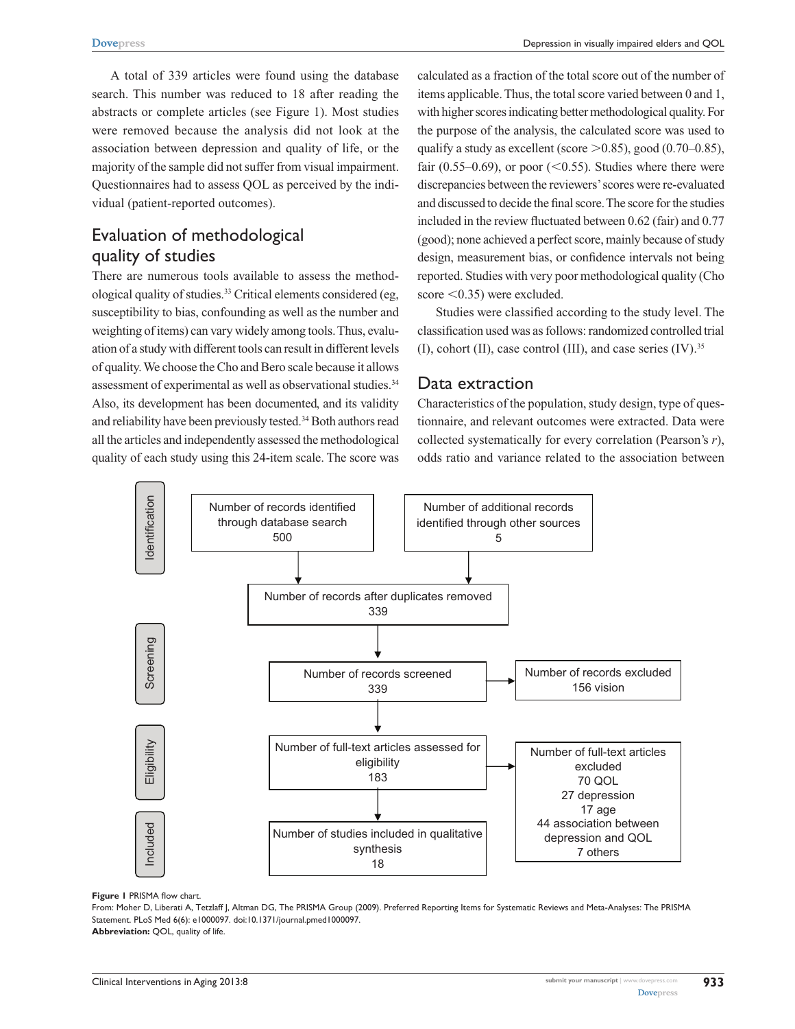Depression in visually impaired elders and QOL

A total of 339 articles were found using the database search. This number was reduced to 18 after reading the abstracts or complete articles (see Figure 1). Most studies were removed because the analysis did not look at the association between depression and quality of life, or the majority of the sample did not suffer from visual impairment. Questionnaires had to assess QOL as perceived by the individual (patient-reported outcomes).

# Evaluation of methodological quality of studies

There are numerous tools available to assess the methodological quality of studies.33 Critical elements considered (eg, susceptibility to bias, confounding as well as the number and weighting of items) can vary widely among tools. Thus, evaluation of a study with different tools can result in different levels of quality. We choose the Cho and Bero scale because it allows assessment of experimental as well as observational studies.<sup>34</sup> Also, its development has been documented, and its validity and reliability have been previously tested.<sup>34</sup> Both authors read all the articles and independently assessed the methodological quality of each study using this 24-item scale. The score was

calculated as a fraction of the total score out of the number of items applicable. Thus, the total score varied between 0 and 1, with higher scores indicating better methodological quality. For the purpose of the analysis, the calculated score was used to qualify a study as excellent (score  $> 0.85$ ), good (0.70–0.85), fair (0.55–0.69), or poor ( $<$ 0.55). Studies where there were discrepancies between the reviewers' scores were re-evaluated and discussed to decide the final score. The score for the studies included in the review fluctuated between 0.62 (fair) and 0.77 (good); none achieved a perfect score, mainly because of study design, measurement bias, or confidence intervals not being reported. Studies with very poor methodological quality (Cho score  $<$ 0.35) were excluded.

Studies were classified according to the study level. The classification used was as follows: randomized controlled trial (I), cohort (II), case control (III), and case series  $(IV).^{35}$ 

### Data extraction

Characteristics of the population, study design, type of questionnaire, and relevant outcomes were extracted. Data were collected systematically for every correlation (Pearson's *r*), odds ratio and variance related to the association between



**Figure 1** PRISMA flow chart.

From: Moher D, Liberati A, Tetzlaff J, Altman DG, The PRISMA Group (2009). Preferred Reporting Items for Systematic Reviews and Meta-Analyses: The PRISMA Statement. PLoS Med 6(6): e1000097. doi:10.1371/journal.pmed1000097. **Abbreviation:** QOL, quality of life.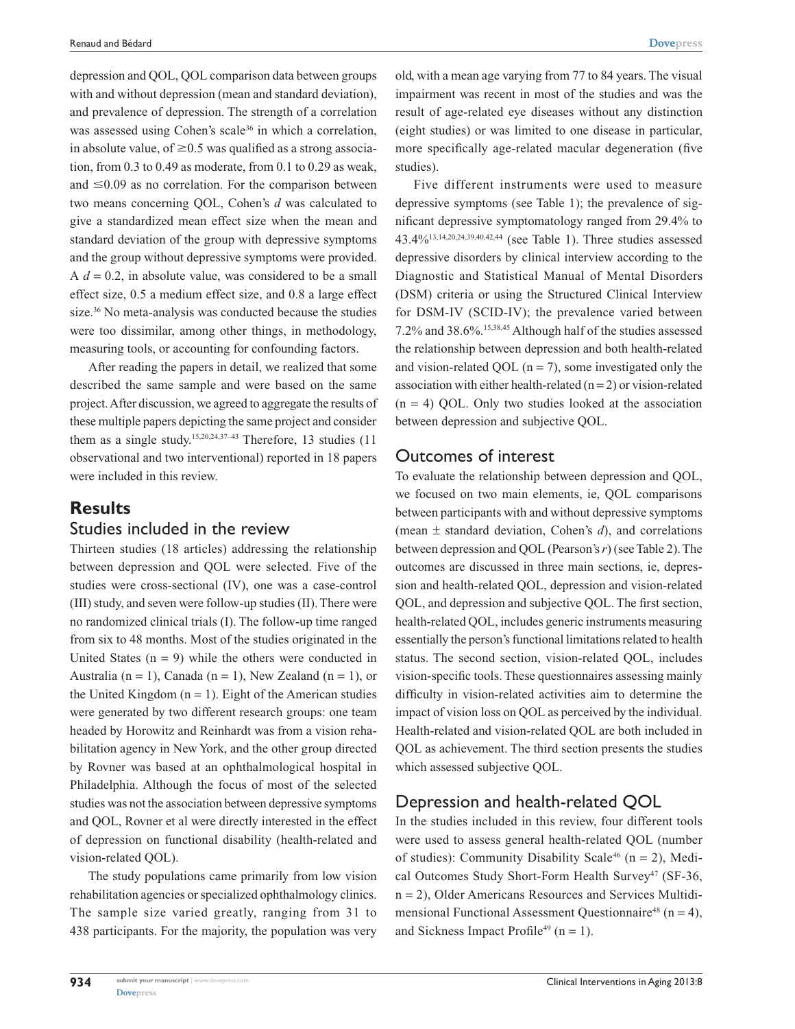depression and QOL, QOL comparison data between groups with and without depression (mean and standard deviation), and prevalence of depression. The strength of a correlation was assessed using Cohen's scale<sup>36</sup> in which a correlation, in absolute value, of  $\geq$  0.5 was qualified as a strong association, from 0.3 to 0.49 as moderate, from 0.1 to 0.29 as weak, and  $\leq 0.09$  as no correlation. For the comparison between two means concerning QOL, Cohen's *d* was calculated to give a standardized mean effect size when the mean and standard deviation of the group with depressive symptoms and the group without depressive symptoms were provided. A *d* = 0.2, in absolute value, was considered to be a small effect size, 0.5 a medium effect size, and 0.8 a large effect size.<sup>36</sup> No meta-analysis was conducted because the studies were too dissimilar, among other things, in methodology, measuring tools, or accounting for confounding factors.

After reading the papers in detail, we realized that some described the same sample and were based on the same project. After discussion, we agreed to aggregate the results of these multiple papers depicting the same project and consider them as a single study.<sup>15,20,24,37-43</sup> Therefore, 13 studies (11 observational and two interventional) reported in 18 papers were included in this review.

## **Results**

#### Studies included in the review

Thirteen studies (18 articles) addressing the relationship between depression and QOL were selected. Five of the studies were cross-sectional (IV), one was a case-control (III) study, and seven were follow-up studies (II). There were no randomized clinical trials (I). The follow-up time ranged from six to 48 months. Most of the studies originated in the United States  $(n = 9)$  while the others were conducted in Australia (n = 1), Canada (n = 1), New Zealand (n = 1), or the United Kingdom  $(n = 1)$ . Eight of the American studies were generated by two different research groups: one team headed by Horowitz and Reinhardt was from a vision rehabilitation agency in New York, and the other group directed by Rovner was based at an ophthalmological hospital in Philadelphia. Although the focus of most of the selected studies was not the association between depressive symptoms and QOL, Rovner et al were directly interested in the effect of depression on functional disability (health-related and vision-related QOL).

The study populations came primarily from low vision rehabilitation agencies or specialized ophthalmology clinics. The sample size varied greatly, ranging from 31 to 438 participants. For the majority, the population was very

old, with a mean age varying from 77 to 84 years. The visual impairment was recent in most of the studies and was the result of age-related eye diseases without any distinction (eight studies) or was limited to one disease in particular, more specifically age-related macular degeneration (five studies).

Five different instruments were used to measure depressive symptoms (see Table 1); the prevalence of significant depressive symptomatology ranged from 29.4% to 43.4%13,14,20,24,39,40,42,44 (see Table 1). Three studies assessed depressive disorders by clinical interview according to the Diagnostic and Statistical Manual of Mental Disorders (DSM) criteria or using the Structured Clinical Interview for DSM-IV (SCID-IV); the prevalence varied between 7.2% and 38.6%.15,38,45 Although half of the studies assessed the relationship between depression and both health-related and vision-related QOL  $(n = 7)$ , some investigated only the association with either health-related  $(n = 2)$  or vision-related  $(n = 4)$  OOL. Only two studies looked at the association between depression and subjective QOL.

### Outcomes of interest

To evaluate the relationship between depression and QOL, we focused on two main elements, ie, QOL comparisons between participants with and without depressive symptoms (mean ± standard deviation, Cohen's *d*), and correlations between depression and QOL (Pearson's *r*) (see Table 2). The outcomes are discussed in three main sections, ie, depression and health-related QOL, depression and vision-related QOL, and depression and subjective QOL. The first section, health-related QOL, includes generic instruments measuring essentially the person's functional limitations related to health status. The second section, vision-related QOL, includes vision-specific tools. These questionnaires assessing mainly difficulty in vision-related activities aim to determine the impact of vision loss on QOL as perceived by the individual. Health-related and vision-related QOL are both included in QOL as achievement. The third section presents the studies which assessed subjective QOL.

### Depression and health-related QOL

In the studies included in this review, four different tools were used to assess general health-related QOL (number of studies): Community Disability Scale<sup>46</sup> ( $n = 2$ ), Medical Outcomes Study Short-Form Health Survey<sup>47</sup> (SF-36, n = 2), Older Americans Resources and Services Multidimensional Functional Assessment Questionnaire<sup>48</sup> (n = 4), and Sickness Impact Profile<sup>49</sup> ( $n = 1$ ).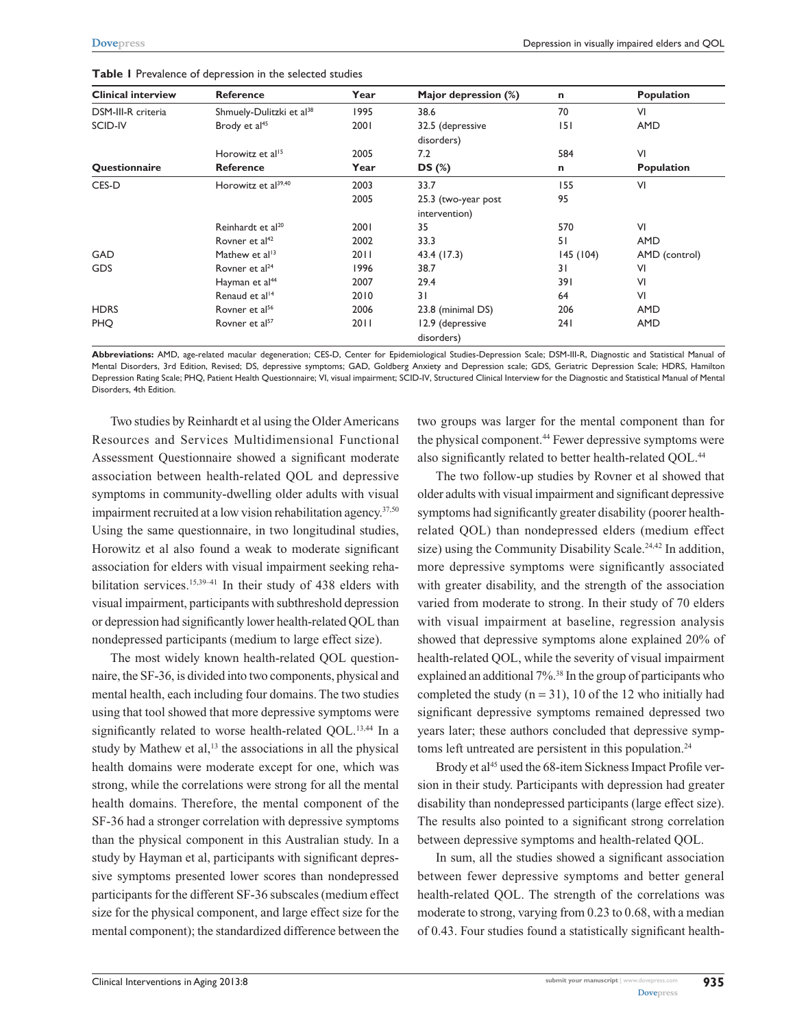| <b>Clinical interview</b> | Reference                            | Year | Major depression (%) | n        | Population    |
|---------------------------|--------------------------------------|------|----------------------|----------|---------------|
| DSM-III-R criteria        | Shmuely-Dulitzki et al <sup>38</sup> | 1995 | 38.6                 | 70       | VI            |
| SCID-IV                   | Brody et al <sup>45</sup>            | 2001 | 32.5 (depressive     | 151      | <b>AMD</b>    |
|                           |                                      |      | disorders)           |          |               |
|                           | Horowitz et al <sup>15</sup>         | 2005 | 7.2                  | 584      | VI            |
| Questionnaire             | <b>Reference</b>                     | Year | DS(%)                | n        | Population    |
| CES-D                     | Horowitz et al <sup>39,40</sup>      | 2003 | 33.7                 | 155      | VI            |
|                           |                                      | 2005 | 25.3 (two-year post  | 95       |               |
|                           |                                      |      | intervention)        |          |               |
|                           | Reinhardt et al <sup>20</sup>        | 2001 | 35                   | 570      | VI            |
|                           | Rovner et al <sup>42</sup>           | 2002 | 33.3                 | 51       | <b>AMD</b>    |
| GAD                       | Mathew et al <sup>13</sup>           | 2011 | 43.4 (17.3)          | 145(104) | AMD (control) |
| <b>GDS</b>                | Rovner et al <sup>24</sup>           | 1996 | 38.7                 | 31       | VI            |
|                           | Hayman et al <sup>44</sup>           | 2007 | 29.4                 | 391      | VI            |
|                           | Renaud et al <sup>14</sup>           | 2010 | 31                   | 64       | VI            |
| <b>HDRS</b>               | Rovner et al <sup>56</sup>           | 2006 | 23.8 (minimal DS)    | 206      | AMD           |
| <b>PHQ</b>                | Rovner et al <sup>57</sup>           | 2011 | 12.9 (depressive     | 241      | AMD           |
|                           |                                      |      | disorders)           |          |               |

**Table 1** Prevalence of depression in the selected studies

**Abbreviations:** AMD, age-related macular degeneration; CES-D, Center for Epidemiological Studies-Depression Scale; DSM-III-R, Diagnostic and Statistical Manual of Mental Disorders, 3rd Edition, Revised; DS, depressive symptoms; GAD, Goldberg Anxiety and Depression scale; GDS, Geriatric Depression Scale; HDRS, Hamilton Depression Rating Scale; PHQ, Patient Health Questionnaire; VI, visual impairment; SCID-IV, Structured Clinical Interview for the Diagnostic and Statistical Manual of Mental Disorders, 4th Edition.

Two studies by Reinhardt et al using the Older Americans Resources and Services Multidimensional Functional Assessment Questionnaire showed a significant moderate association between health-related QOL and depressive symptoms in community-dwelling older adults with visual impairment recruited at a low vision rehabilitation agency.<sup>37,50</sup> Using the same questionnaire, in two longitudinal studies, Horowitz et al also found a weak to moderate significant association for elders with visual impairment seeking rehabilitation services.<sup>15,39-41</sup> In their study of 438 elders with visual impairment, participants with subthreshold depression or depression had significantly lower health-related QOL than nondepressed participants (medium to large effect size).

The most widely known health-related QOL questionnaire, the SF-36, is divided into two components, physical and mental health, each including four domains. The two studies using that tool showed that more depressive symptoms were significantly related to worse health-related QOL.<sup>13,44</sup> In a study by Mathew et al,<sup>13</sup> the associations in all the physical health domains were moderate except for one, which was strong, while the correlations were strong for all the mental health domains. Therefore, the mental component of the SF-36 had a stronger correlation with depressive symptoms than the physical component in this Australian study. In a study by Hayman et al, participants with significant depressive symptoms presented lower scores than nondepressed participants for the different SF-36 subscales (medium effect size for the physical component, and large effect size for the mental component); the standardized difference between the two groups was larger for the mental component than for the physical component.<sup>44</sup> Fewer depressive symptoms were also significantly related to better health-related QOL.44

The two follow-up studies by Rovner et al showed that older adults with visual impairment and significant depressive symptoms had significantly greater disability (poorer healthrelated QOL) than nondepressed elders (medium effect size) using the Community Disability Scale.<sup>24,42</sup> In addition, more depressive symptoms were significantly associated with greater disability, and the strength of the association varied from moderate to strong. In their study of 70 elders with visual impairment at baseline, regression analysis showed that depressive symptoms alone explained 20% of health-related QOL, while the severity of visual impairment explained an additional 7%.<sup>38</sup> In the group of participants who completed the study  $(n = 31)$ , 10 of the 12 who initially had significant depressive symptoms remained depressed two years later; these authors concluded that depressive symptoms left untreated are persistent in this population.<sup>24</sup>

Brody et al<sup>45</sup> used the 68-item Sickness Impact Profile version in their study. Participants with depression had greater disability than nondepressed participants (large effect size). The results also pointed to a significant strong correlation between depressive symptoms and health-related QOL.

In sum, all the studies showed a significant association between fewer depressive symptoms and better general health-related QOL. The strength of the correlations was moderate to strong, varying from 0.23 to 0.68, with a median of 0.43. Four studies found a statistically significant health-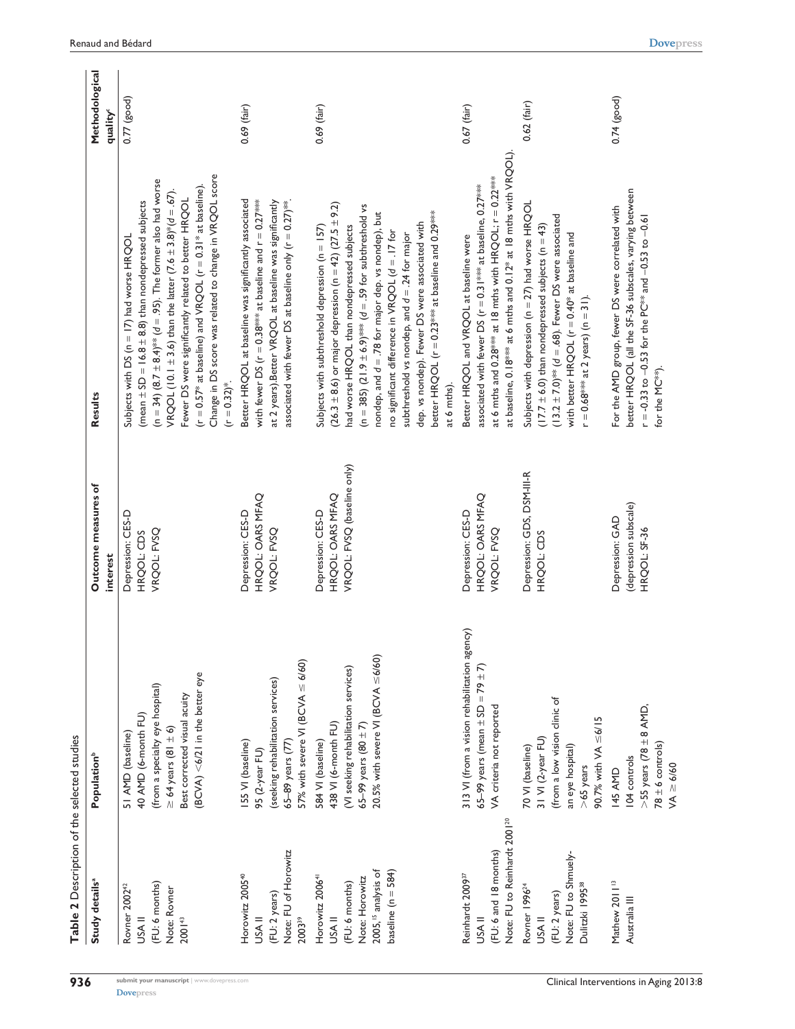| Table 2 Description of the selected studies          |                                                                                                 |                                       |                                                                                                                                                                    |                |
|------------------------------------------------------|-------------------------------------------------------------------------------------------------|---------------------------------------|--------------------------------------------------------------------------------------------------------------------------------------------------------------------|----------------|
| Study details <sup>a</sup>                           | Population <sup>b</sup>                                                                         | Outcome measures of                   | Results                                                                                                                                                            | Methodological |
|                                                      |                                                                                                 | interest                              |                                                                                                                                                                    | quality®       |
| Rovner 2002 <sup>42</sup><br>USA II                  | 40 AMD (6-month FU)<br>51 AMD (baseline)                                                        | Depression: CES-D<br>HRQOL: CDS       | Subjects with DS (n = 17) had worse HRQOL                                                                                                                          | $0.77$ (good)  |
| (FU: 6 months)                                       | (from a specialty eye hospital)                                                                 | VRQOL: FVSQ                           | $(n = 34)$ (8.7 ± 8.4) <sup>**</sup> (d = .95). The former also had worse<br>(mean $\pm$ SD = 16.8 $\pm$ 8.8) than nondepressed subjects                           |                |
| Note: Rovner                                         | $\geq 64$ years (81 $\pm 6$ )                                                                   |                                       | VRQOL (10.1 ± 3.6) than the latter $(7.6 \pm 3.8)^*(d = .67)$                                                                                                      |                |
| 2001 <sup>43</sup>                                   | Best corrected visual acuity                                                                    |                                       | Fewer DS were significantly related to better HRQOL                                                                                                                |                |
|                                                      | (BCVA) <6/21 in the better eye                                                                  |                                       | Change in DS score was related to change in VRQOL score<br>$(r = 0.57$ <sup>*</sup> at baseline) and VRQOL $(r = 0.31$ <sup>*</sup> at baseline).<br>$(r = 0.32)*$ |                |
|                                                      |                                                                                                 |                                       |                                                                                                                                                                    |                |
| Horowitz 2005 <sup>40</sup><br>USA II                | 155 VI (baseline)<br>95 (2-year FU)                                                             | HRQOL: OARS MFAQ<br>Depression: CES-D | Better HRQOL at baseline was significantly associated<br>with fewer DS ( $r = 0.38***$ at baseline and $r = 0.27***$                                               | $0.69$ (fair)  |
| Note: FU of Horowitz<br>(FU: 2 years)<br>$2003^{39}$ | 57% with severe VI (BCVA $\leq 6/60$ )<br>(seeking rehabilitation services)<br>65-89 years (77) | VRQOL: FVSQ                           | at 2 years). Better VRQOL at baseline was significantly<br>associated with fewer DS at baseline only $(r = 0.27)$ <sup>**</sup>                                    |                |
| Horowitz 2006 <sup>41</sup>                          | 584 VI (baseline)                                                                               | Depression: CES-D                     | Subjects with subthreshold depression (n = 157)                                                                                                                    | $0.69$ (fair)  |
| USA II                                               | 438 VI (6-month FU)                                                                             | HRQOL: OARS MFAQ                      | $(26.3 \pm 8.6)$ or major depression (n = 42) $(27.5 \pm 9.2)$                                                                                                     |                |
| (FU: 6 months)                                       | (VI seeking rehabilitation services)                                                            | VRQOL: FVSQ (baseline only)           | had worse HRQOL than nondepressed subjects                                                                                                                         |                |
| 2005, <sup>15</sup> analysis of<br>Note: Horowitz    | 20.5% with severe VI (BCVA ≤6/60)<br>65-99 years $(80 \pm 7)$                                   |                                       | (n = 385) $(21.9 \pm 6.9)^{****}$ (d = .59 for subthreshold vs<br>nondep, and $d = .78$ for major dep. vs nondep), but                                             |                |
| baseline ( $n = 584$ )                               |                                                                                                 |                                       | no significant difference in VRQOL $(d = .17$ for                                                                                                                  |                |
|                                                      |                                                                                                 |                                       | dep. vs nondep). Fewer DS were associated with<br>subthreshold vs nondep, and $d = .24$ for major                                                                  |                |
|                                                      |                                                                                                 |                                       | better HRQOL (r = 0.23 <sup>***</sup> at baseline and 0.29 <sup>***</sup><br>at 6 mths).                                                                           |                |
| Reinhardt 2009 <sup>37</sup>                         | 313 VI (from a vision rehabilitation agency)                                                    | Depression: CES-D                     | Better HRQOL and VRQOL at baseline were                                                                                                                            | $0.67$ (fair)  |
| (FU: 6 and 18 months)<br>USA II                      | 65-99 years (mean $\pm$ SD = 79 $\pm$ 7)<br>VA criteria not reported                            | HRQOL: OARS MFAQ<br>VRQOL: FVSQ       | at 6 mths and 0.28*** at 18 mths with HRQOL; $r = 0.22$ ***<br>associated with fewer DS (r = 0.3 l*** at baseline, 0.27***                                         |                |
| Note: FU to Reinhardt 2001 <sup>20</sup>             |                                                                                                 |                                       | at baseline, 0.18**** at 6 mths and 0.12* at 18 mths with VRQOL).                                                                                                  |                |
| Rovner 1996 <sup>24</sup><br>USA II                  | 70 VI (baseline)                                                                                | Depression: GDS, DSM-III-R            | Subjects with depression (n = 27) had worse HRQOL                                                                                                                  | 0.62 (fair)    |
| (FU: 2 years)                                        | (from a low vision clinic of<br>31 VI (2-year FU)                                               | HRQOL: CDS                            | $(13.2 \pm 7.0)^{***}$ ( $d = .68$ ). Fewer DS were associated<br>$(17.7 \pm 6.0)$ than nondepressed subjects (n = 43)                                             |                |
| Note: FU to Shmuely-                                 | an eye hospital)                                                                                |                                       | with better HRQOL $(r = 0.40^*$ at baseline and                                                                                                                    |                |
| Dulitzki 1995 <sup>38</sup>                          | >65 years                                                                                       |                                       | $r = 0.68$ <sup>star</sup> at 2 years) (n = 31).                                                                                                                   |                |
|                                                      | 90.7% with VA $\leq 6/15$                                                                       |                                       |                                                                                                                                                                    |                |
| Mathew 2011 <sup>13</sup>                            | I45 AMD                                                                                         | Depression: GAD                       | For the AMD group, fewer DS were correlated with                                                                                                                   | $0.74$ (good)  |
| Australia III                                        | 104 controls                                                                                    | (depression subscale)                 | better HRQOL (all the SF-36 subscales, varying between                                                                                                             |                |
|                                                      | $>$ 55 years (78 $\pm$ 8 AMD,<br>$78 \pm 6$ controls)                                           | HRQOL: SF-36                          | $r = -0.33$ to $-0.53$ for the PC <sup>**</sup> and $-0.53$ to $-0.61$<br>for the MC <sup>***</sup> ).                                                             |                |
|                                                      | $VA \geq 6/60$                                                                                  |                                       |                                                                                                                                                                    |                |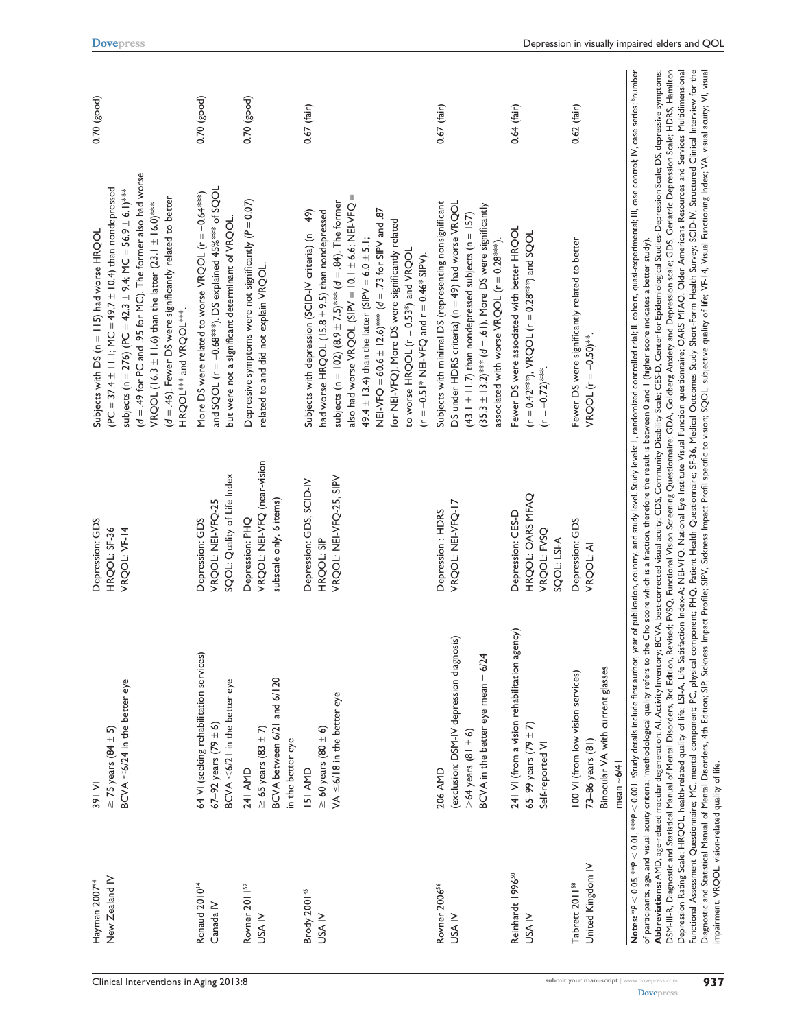| New Zealand IV<br>Hayman 2007 <sup>44</sup>        | BCVA ≤6/24 in the better eye<br>$\geq$ 75 years (84 $\pm$ 5)<br>391 VI                                                                                                                                                                                                                                                                                                       | Depression: GDS<br>HRQOL: SF-36<br>VRQOL: VF-14                           | $(d = .49$ for PC and .95 for MC). The former also had worse<br>$(PC = 37.4 \pm 11.1; MC = 49.7 \pm 10.4)$ than nondepressed<br>subjects (n = 276) (PC = 42.3 ± 9.4; MC = 56.9 ± 6.1)***<br>$(d = .46)$ . Fewer DS were significantly related to better<br>VRQOL (16.3 $\pm$ 11.6) than the latter (23.1 $\pm$ 16.0) <sup>***</sup><br>Subjects with DS (n = 115) had worse HRQOL<br>HRQOL*** and VRQOL***.                                                                                                                                                                                                                                                                                                                                                                                                                                                                                                                                                                                                                                                                                                                                                                                                                                                           | $0.70$ (good) |
|----------------------------------------------------|------------------------------------------------------------------------------------------------------------------------------------------------------------------------------------------------------------------------------------------------------------------------------------------------------------------------------------------------------------------------------|---------------------------------------------------------------------------|-----------------------------------------------------------------------------------------------------------------------------------------------------------------------------------------------------------------------------------------------------------------------------------------------------------------------------------------------------------------------------------------------------------------------------------------------------------------------------------------------------------------------------------------------------------------------------------------------------------------------------------------------------------------------------------------------------------------------------------------------------------------------------------------------------------------------------------------------------------------------------------------------------------------------------------------------------------------------------------------------------------------------------------------------------------------------------------------------------------------------------------------------------------------------------------------------------------------------------------------------------------------------|---------------|
| Renaud 2010 <sup>14</sup><br>Canada <sub>IV</sub>  | 64 VI (seeking rehabilitation services)<br>BCVA <6/21 in the better eye<br>67-92 years (79 $\pm$ 6)                                                                                                                                                                                                                                                                          | SQOL: Quality of Life Index<br>VRQOL: NEI-VFQ-25<br>Depression: GDS       | and SQOL (r = -0.68****). DS explained 45%**** of SQOL<br>More DS were related to worse VRQOL (r = -0.64 <sup>****</sup> )<br>but were not a significant determinant of VRQOL                                                                                                                                                                                                                                                                                                                                                                                                                                                                                                                                                                                                                                                                                                                                                                                                                                                                                                                                                                                                                                                                                         | $0.70$ (good) |
| Rovner 2011 <sup>57</sup><br>USA <sub>IV</sub>     | BCVA between 6/21 and 6/120<br>$\geq 65$ years (83 $\pm$ 7)<br>in the better eye<br>241 AMD                                                                                                                                                                                                                                                                                  | VRQOL: NEI-VFQ (near-vision<br>subscale only, 6 items)<br>Depression: PHQ | Depressive symptoms were not significantly ( $P = 0.07$ )<br>related to and did not explain VRQOL                                                                                                                                                                                                                                                                                                                                                                                                                                                                                                                                                                                                                                                                                                                                                                                                                                                                                                                                                                                                                                                                                                                                                                     | $0.70$ (good) |
| Brody 2001 <sup>45</sup><br>USA <sub>IV</sub>      | $VA \leq 6/18$ in the better eye<br>$\geq 60$ years (80 $\pm 6$ )<br>ISI AMD                                                                                                                                                                                                                                                                                                 | VRQOL: NEI-VFQ-25, SIPV<br>Depression: GDS, SCID-IV<br>HRQOL: SIP         | also had worse VRQOL (SIPV = $10.1 \pm 6.6$ ; NEI-VFQ =<br>subjects (n = 102) (8.9 ± 7.5)*** ( $d = .84$ ). The former<br>NEI-VFQ = 60.6 $\pm$ 12.6)*** (d = .73 for SIPV and .87<br>had worse HRQOL (15.8 ± 9.5) than nondepressed<br>Subjects with depression (SCID-IV criteria) (n = 49)<br>for NEI-VFQ). More DS were significantly related<br>49.4 ± 13.4) than the latter (SIPV = $6.0 \pm 5.1$ ;<br>to worse HRQOL (r = 0.53*) and VRQOL<br>$(r = -0.51*NEI-VFG$ and $r = 0.46*SIPV$ ).                                                                                                                                                                                                                                                                                                                                                                                                                                                                                                                                                                                                                                                                                                                                                                        | $0.67$ (fair) |
| Rovner 2006 <sup>56</sup><br>USA IV                | (exclusion: DSM-IV depression diagnosis)<br>BCVA in the better eye mean = 6/24<br>$>64$ years (81 ± 6)<br>206 AMD                                                                                                                                                                                                                                                            | VRQOL: NEI-VFQ-17<br>Depression: HDRS                                     | DS under HDRS criteria) (n = 49) had worse VRQOL<br>Subjects with minimal DS (representing nonsignificant<br>$(35.3 \pm 13.2)^{systs}$ (d = .61). More DS were significantly<br>$(43.1 \pm 11.7)$ than nondepressed subjects (n = 157)<br>associated with worse VRQOL (r = 0.28 <sup>****)</sup> .                                                                                                                                                                                                                                                                                                                                                                                                                                                                                                                                                                                                                                                                                                                                                                                                                                                                                                                                                                    | $0.67$ (fair) |
| Reinhardt 1996 <sup>50</sup><br>USA IV             | 241 VI (from a vision rehabilitation agency)<br>65-99 years $(79 \pm 7)$<br>Self-reported VI                                                                                                                                                                                                                                                                                 | HRQOL: OARS MFAQ<br>Depression: CES-D<br>VRQOL: FVSQ<br>SQOL: LSI-A       | Fewer DS were associated with better HRQOL<br>$(r = 0.42***)$ , VRQOL $(r = 0.28***)$ and SQOL<br>$(r = -0.72)$ <sup>***</sup>                                                                                                                                                                                                                                                                                                                                                                                                                                                                                                                                                                                                                                                                                                                                                                                                                                                                                                                                                                                                                                                                                                                                        | $0.64$ (fair) |
| United Kingdom IV<br>Tabrett 2011 <sup>58</sup>    | Binocular VA with current glasses<br>100 VI (from low vision services)<br>73-86 years (81)<br>mean $-6/41$                                                                                                                                                                                                                                                                   | Depression: GDS<br>VRQOL: AI                                              | Fewer DS were significantly related to better<br>VRQOL $(r = -0.50)$ <sup>**</sup>                                                                                                                                                                                                                                                                                                                                                                                                                                                                                                                                                                                                                                                                                                                                                                                                                                                                                                                                                                                                                                                                                                                                                                                    | $0.62$ (fair) |
| impairment; VRQOL, vision-related quality of life. | of participants, age, and visual acuity criteria; 'methodological quality refers to the Cho score which is a fraction, therefore the result is between 0 and 1 (higher score indicates a better study).<br>Abbreviations: AMD, age-related macular degeneration; AI, Activity Inventory;<br>DSM-III-R, Diagnostic and Statistical Manual of Mental Disorders, 3rd Edition, R |                                                                           | evised; FVSQ, Functional Vision Screening Questionnaire; GDA, Goldberg Anxiety and Depression scale; GDS, Geriatric Depression Scale; HDRS, Hamilton<br>Depression Rating Scale; HRQOL, health-related quality of life; LSI-A, Life Satisfaction Index-A; NEI-VFQ, National Eye Institute Visual Function questionnaire; OARS MFAQ, Older Americans Resources and Services Multidimens<br>Diagnostic and Statistical Manual of Mental Disorders, 4th Edition; SIP, Sickness Impact Profile; SIPV, Sickness Impact Profil specific to vision; SQQL, subjective quality of life; VF-14, Visual Functioning Index; VA, visu<br>BCVA, best-corrected visual acuity, CDS, Community Disability Scale; CES-D, Center for Epidemiological Studies-Depression Scale; DS, depressive symptoms;<br>Functional Assessment Questionnaire; MC, mental component; PC, physical component; PHQ, Patient Health Questionnaire; SF-36, Medical Outcomes Study Short-Form Health Survey; SCID-IV, Structured Clinical Interview for the<br>$\mathsf{Noces}^{*p}$ $<$ 0.05, $^{*kp}$ $<$ 0.001, $^{*exp}$ $<$ 0.001, $^{*exp}$ details include first author, year of publication, country, and study levels. I, randomized controlled trial; II, chort, quasi-experimental; III, case co |               |

**937**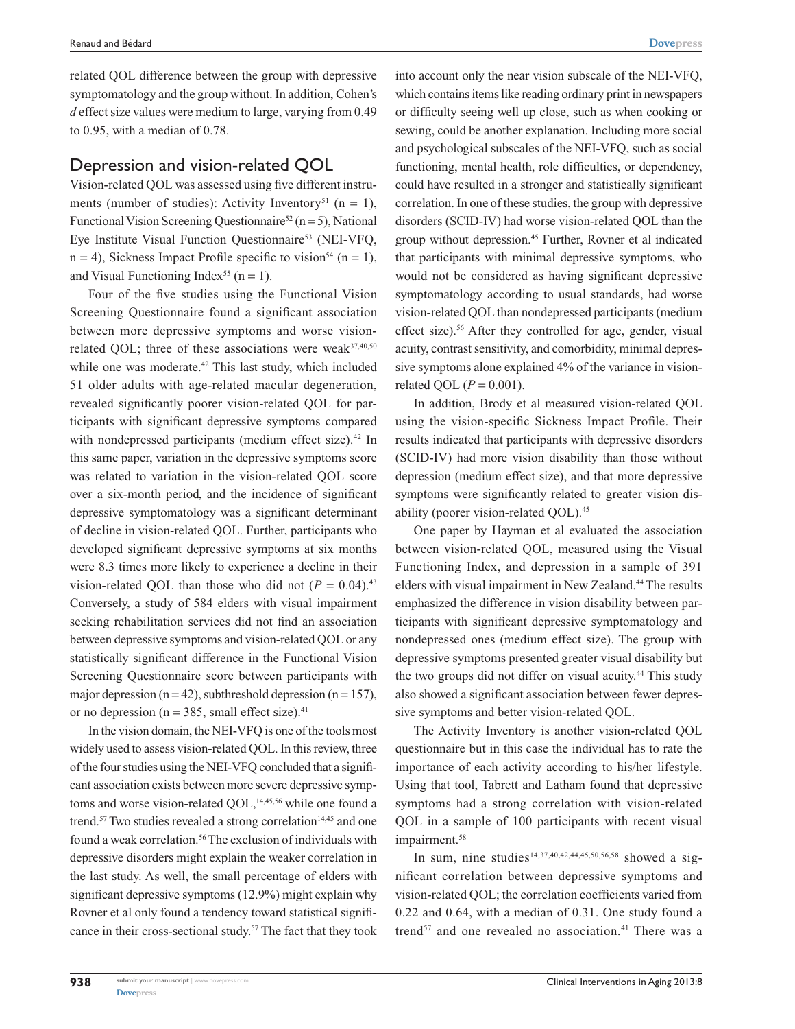related QOL difference between the group with depressive symptomatology and the group without. In addition, Cohen's *d* effect size values were medium to large, varying from 0.49 to 0.95, with a median of 0.78.

#### Depression and vision-related QOL

Vision-related QOL was assessed using five different instruments (number of studies): Activity Inventory<sup>51</sup> (n = 1), Functional Vision Screening Questionnaire<sup>52</sup> (n = 5), National Eye Institute Visual Function Questionnaire<sup>53</sup> (NEI-VFQ,  $n = 4$ ), Sickness Impact Profile specific to vision<sup>54</sup> ( $n = 1$ ), and Visual Functioning Index<sup>55</sup> ( $n = 1$ ).

Four of the five studies using the Functional Vision Screening Questionnaire found a significant association between more depressive symptoms and worse visionrelated QOL; three of these associations were weak<sup>37,40,50</sup> while one was moderate.<sup>42</sup> This last study, which included 51 older adults with age-related macular degeneration, revealed significantly poorer vision-related QOL for participants with significant depressive symptoms compared with nondepressed participants (medium effect size).<sup>42</sup> In this same paper, variation in the depressive symptoms score was related to variation in the vision-related QOL score over a six-month period, and the incidence of significant depressive symptomatology was a significant determinant of decline in vision-related QOL. Further, participants who developed significant depressive symptoms at six months were 8.3 times more likely to experience a decline in their vision-related QOL than those who did not  $(P = 0.04)$ .<sup>43</sup> Conversely, a study of 584 elders with visual impairment seeking rehabilitation services did not find an association between depressive symptoms and vision-related QOL or any statistically significant difference in the Functional Vision Screening Questionnaire score between participants with major depression (n = 42), subthreshold depression (n = 157), or no depression ( $n = 385$ , small effect size).<sup>41</sup>

In the vision domain, the NEI-VFQ is one of the tools most widely used to assess vision-related QOL. In this review, three of the four studies using the NEI-VFQ concluded that a significant association exists between more severe depressive symptoms and worse vision-related QOL,<sup>14,45,56</sup> while one found a trend.<sup>57</sup> Two studies revealed a strong correlation<sup>14,45</sup> and one found a weak correlation.<sup>56</sup> The exclusion of individuals with depressive disorders might explain the weaker correlation in the last study. As well, the small percentage of elders with significant depressive symptoms (12.9%) might explain why Rovner et al only found a tendency toward statistical significance in their cross-sectional study.<sup>57</sup> The fact that they took

into account only the near vision subscale of the NEI-VFQ, which contains items like reading ordinary print in newspapers or difficulty seeing well up close, such as when cooking or sewing, could be another explanation. Including more social and psychological subscales of the NEI-VFQ, such as social functioning, mental health, role difficulties, or dependency, could have resulted in a stronger and statistically significant correlation. In one of these studies, the group with depressive disorders (SCID-IV) had worse vision-related QOL than the group without depression.45 Further, Rovner et al indicated that participants with minimal depressive symptoms, who would not be considered as having significant depressive symptomatology according to usual standards, had worse vision-related QOL than nondepressed participants (medium effect size).<sup>56</sup> After they controlled for age, gender, visual acuity, contrast sensitivity, and comorbidity, minimal depressive symptoms alone explained 4% of the variance in visionrelated QOL  $(P = 0.001)$ .

In addition, Brody et al measured vision-related QOL using the vision-specific Sickness Impact Profile. Their results indicated that participants with depressive disorders (SCID-IV) had more vision disability than those without depression (medium effect size), and that more depressive symptoms were significantly related to greater vision disability (poorer vision-related QOL).45

One paper by Hayman et al evaluated the association between vision-related QOL, measured using the Visual Functioning Index, and depression in a sample of 391 elders with visual impairment in New Zealand.<sup>44</sup> The results emphasized the difference in vision disability between participants with significant depressive symptomatology and nondepressed ones (medium effect size). The group with depressive symptoms presented greater visual disability but the two groups did not differ on visual acuity.<sup>44</sup> This study also showed a significant association between fewer depressive symptoms and better vision-related QOL.

The Activity Inventory is another vision-related QOL questionnaire but in this case the individual has to rate the importance of each activity according to his/her lifestyle. Using that tool, Tabrett and Latham found that depressive symptoms had a strong correlation with vision-related QOL in a sample of 100 participants with recent visual impairment.<sup>58</sup>

In sum, nine studies<sup>14,37,40,42,44,45,50,56,58</sup> showed a significant correlation between depressive symptoms and vision-related QOL; the correlation coefficients varied from 0.22 and 0.64, with a median of 0.31. One study found a trend<sup>57</sup> and one revealed no association.<sup>41</sup> There was a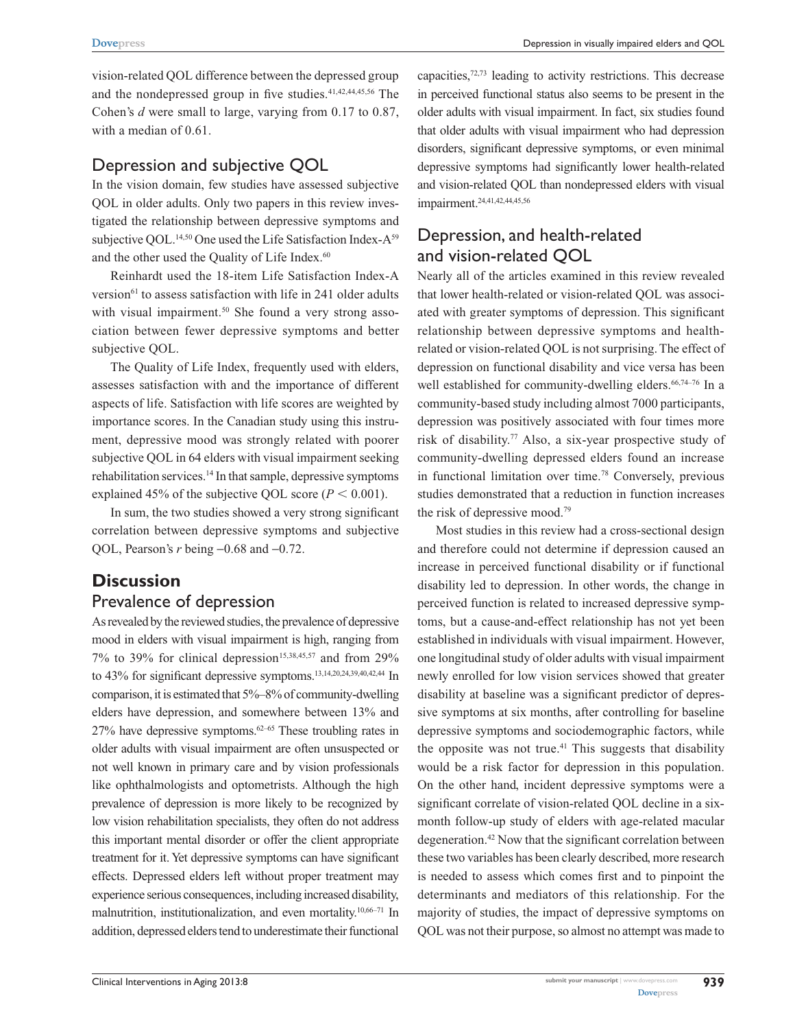vision-related QOL difference between the depressed group and the nondepressed group in five studies.41,42,44,45,56 The Cohen's *d* were small to large, varying from 0.17 to 0.87, with a median of 0.61.

### Depression and subjective QOL

In the vision domain, few studies have assessed subjective QOL in older adults. Only two papers in this review investigated the relationship between depressive symptoms and subjective OOL.<sup>14,50</sup> One used the Life Satisfaction Index-A<sup>59</sup> and the other used the Quality of Life Index.<sup>60</sup>

Reinhardt used the 18-item Life Satisfaction Index-A version<sup>61</sup> to assess satisfaction with life in 241 older adults with visual impairment.<sup>50</sup> She found a very strong association between fewer depressive symptoms and better subjective QOL.

The Quality of Life Index, frequently used with elders, assesses satisfaction with and the importance of different aspects of life. Satisfaction with life scores are weighted by importance scores. In the Canadian study using this instrument, depressive mood was strongly related with poorer subjective QOL in 64 elders with visual impairment seeking rehabilitation services.14 In that sample, depressive symptoms explained 45% of the subjective QOL score  $(P < 0.001)$ .

In sum, the two studies showed a very strong significant correlation between depressive symptoms and subjective QOL, Pearson's *r* being −0.68 and −0.72.

# **Discussion**

### Prevalence of depression

As revealed by the reviewed studies, the prevalence of depressive mood in elders with visual impairment is high, ranging from 7% to 39% for clinical depression<sup>15,38,45,57</sup> and from 29% to 43% for significant depressive symptoms.13,14,20,24,39,40,42,44 In comparison, it is estimated that 5%–8% of community-dwelling elders have depression, and somewhere between 13% and  $27\%$  have depressive symptoms.<sup>62–65</sup> These troubling rates in older adults with visual impairment are often unsuspected or not well known in primary care and by vision professionals like ophthalmologists and optometrists. Although the high prevalence of depression is more likely to be recognized by low vision rehabilitation specialists, they often do not address this important mental disorder or offer the client appropriate treatment for it. Yet depressive symptoms can have significant effects. Depressed elders left without proper treatment may experience serious consequences, including increased disability, malnutrition, institutionalization, and even mortality.10,66–71 In addition, depressed elders tend to underestimate their functional

capacities,72,73 leading to activity restrictions. This decrease in perceived functional status also seems to be present in the older adults with visual impairment. In fact, six studies found that older adults with visual impairment who had depression disorders, significant depressive symptoms, or even minimal depressive symptoms had significantly lower health-related and vision-related QOL than nondepressed elders with visual impairment.24,41,42,44,45,56

# Depression, and health-related and vision-related QOL

Nearly all of the articles examined in this review revealed that lower health-related or vision-related QOL was associated with greater symptoms of depression. This significant relationship between depressive symptoms and healthrelated or vision-related QOL is not surprising. The effect of depression on functional disability and vice versa has been well established for community-dwelling elders.<sup>66,74-76</sup> In a community-based study including almost 7000 participants, depression was positively associated with four times more risk of disability.77 Also, a six-year prospective study of community-dwelling depressed elders found an increase in functional limitation over time.78 Conversely, previous studies demonstrated that a reduction in function increases the risk of depressive mood.79

Most studies in this review had a cross-sectional design and therefore could not determine if depression caused an increase in perceived functional disability or if functional disability led to depression. In other words, the change in perceived function is related to increased depressive symptoms, but a cause-and-effect relationship has not yet been established in individuals with visual impairment. However, one longitudinal study of older adults with visual impairment newly enrolled for low vision services showed that greater disability at baseline was a significant predictor of depressive symptoms at six months, after controlling for baseline depressive symptoms and sociodemographic factors, while the opposite was not true.<sup>41</sup> This suggests that disability would be a risk factor for depression in this population. On the other hand, incident depressive symptoms were a significant correlate of vision-related QOL decline in a sixmonth follow-up study of elders with age-related macular degeneration.42 Now that the significant correlation between these two variables has been clearly described, more research is needed to assess which comes first and to pinpoint the determinants and mediators of this relationship. For the majority of studies, the impact of depressive symptoms on QOL was not their purpose, so almost no attempt was made to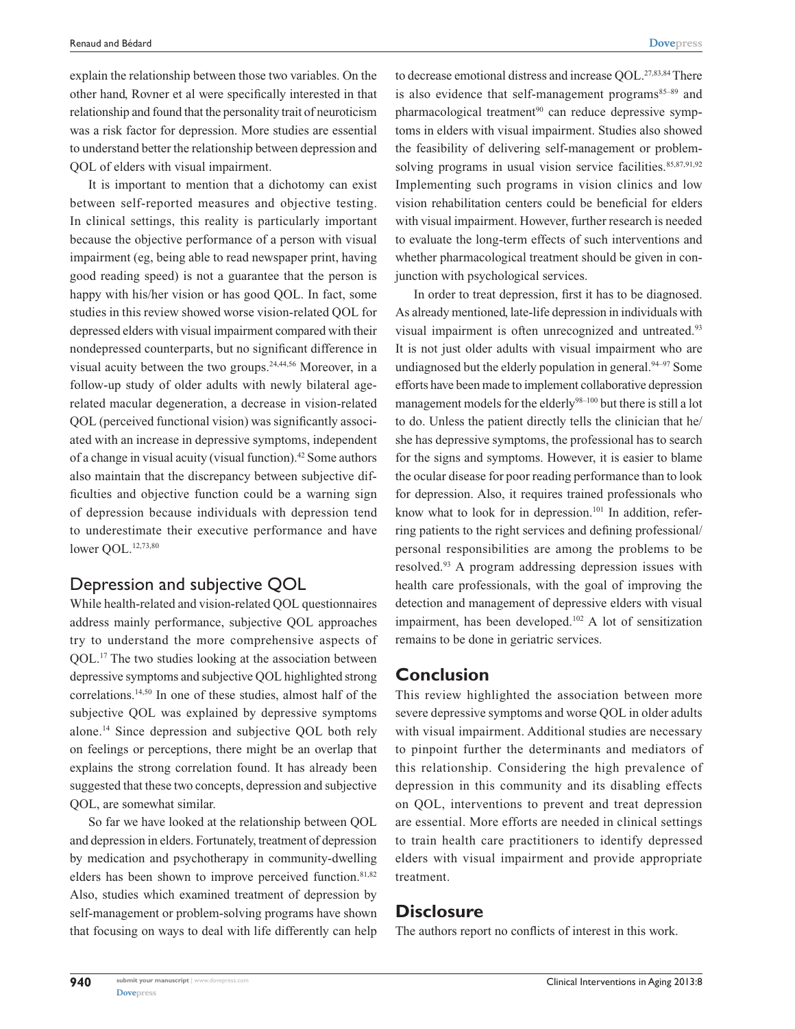explain the relationship between those two variables. On the other hand, Rovner et al were specifically interested in that relationship and found that the personality trait of neuroticism was a risk factor for depression. More studies are essential to understand better the relationship between depression and QOL of elders with visual impairment.

It is important to mention that a dichotomy can exist between self-reported measures and objective testing. In clinical settings, this reality is particularly important because the objective performance of a person with visual impairment (eg, being able to read newspaper print, having good reading speed) is not a guarantee that the person is happy with his/her vision or has good QOL. In fact, some studies in this review showed worse vision-related QOL for depressed elders with visual impairment compared with their nondepressed counterparts, but no significant difference in visual acuity between the two groups.24,44,56 Moreover, in a follow-up study of older adults with newly bilateral agerelated macular degeneration, a decrease in vision-related QOL (perceived functional vision) was significantly associated with an increase in depressive symptoms, independent of a change in visual acuity (visual function).42 Some authors also maintain that the discrepancy between subjective difficulties and objective function could be a warning sign of depression because individuals with depression tend to underestimate their executive performance and have lower QOL.<sup>12,73,80</sup>

### Depression and subjective QOL

While health-related and vision-related QOL questionnaires address mainly performance, subjective QOL approaches try to understand the more comprehensive aspects of QOL.17 The two studies looking at the association between depressive symptoms and subjective QOL highlighted strong correlations.14,50 In one of these studies, almost half of the subjective QOL was explained by depressive symptoms alone.14 Since depression and subjective QOL both rely on feelings or perceptions, there might be an overlap that explains the strong correlation found. It has already been suggested that these two concepts, depression and subjective QOL, are somewhat similar.

So far we have looked at the relationship between QOL and depression in elders. Fortunately, treatment of depression by medication and psychotherapy in community-dwelling elders has been shown to improve perceived function.<sup>81,82</sup> Also, studies which examined treatment of depression by self-management or problem-solving programs have shown that focusing on ways to deal with life differently can help

to decrease emotional distress and increase OOL.<sup>27,83,84</sup> There is also evidence that self-management programs $85-89$  and pharmacological treatment<sup>90</sup> can reduce depressive symptoms in elders with visual impairment. Studies also showed the feasibility of delivering self-management or problemsolving programs in usual vision service facilities.<sup>85,87,91,92</sup> Implementing such programs in vision clinics and low vision rehabilitation centers could be beneficial for elders with visual impairment. However, further research is needed to evaluate the long-term effects of such interventions and whether pharmacological treatment should be given in conjunction with psychological services.

In order to treat depression, first it has to be diagnosed. As already mentioned, late-life depression in individuals with visual impairment is often unrecognized and untreated.<sup>93</sup> It is not just older adults with visual impairment who are undiagnosed but the elderly population in general. $94-97$  Some efforts have been made to implement collaborative depression management models for the elderly<sup>98–100</sup> but there is still a lot to do. Unless the patient directly tells the clinician that he/ she has depressive symptoms, the professional has to search for the signs and symptoms. However, it is easier to blame the ocular disease for poor reading performance than to look for depression. Also, it requires trained professionals who know what to look for in depression.<sup>101</sup> In addition, referring patients to the right services and defining professional/ personal responsibilities are among the problems to be resolved.93 A program addressing depression issues with health care professionals, with the goal of improving the detection and management of depressive elders with visual impairment, has been developed.<sup>102</sup> A lot of sensitization remains to be done in geriatric services.

### **Conclusion**

This review highlighted the association between more severe depressive symptoms and worse QOL in older adults with visual impairment. Additional studies are necessary to pinpoint further the determinants and mediators of this relationship. Considering the high prevalence of depression in this community and its disabling effects on QOL, interventions to prevent and treat depression are essential. More efforts are needed in clinical settings to train health care practitioners to identify depressed elders with visual impairment and provide appropriate treatment.

### **Disclosure**

The authors report no conflicts of interest in this work.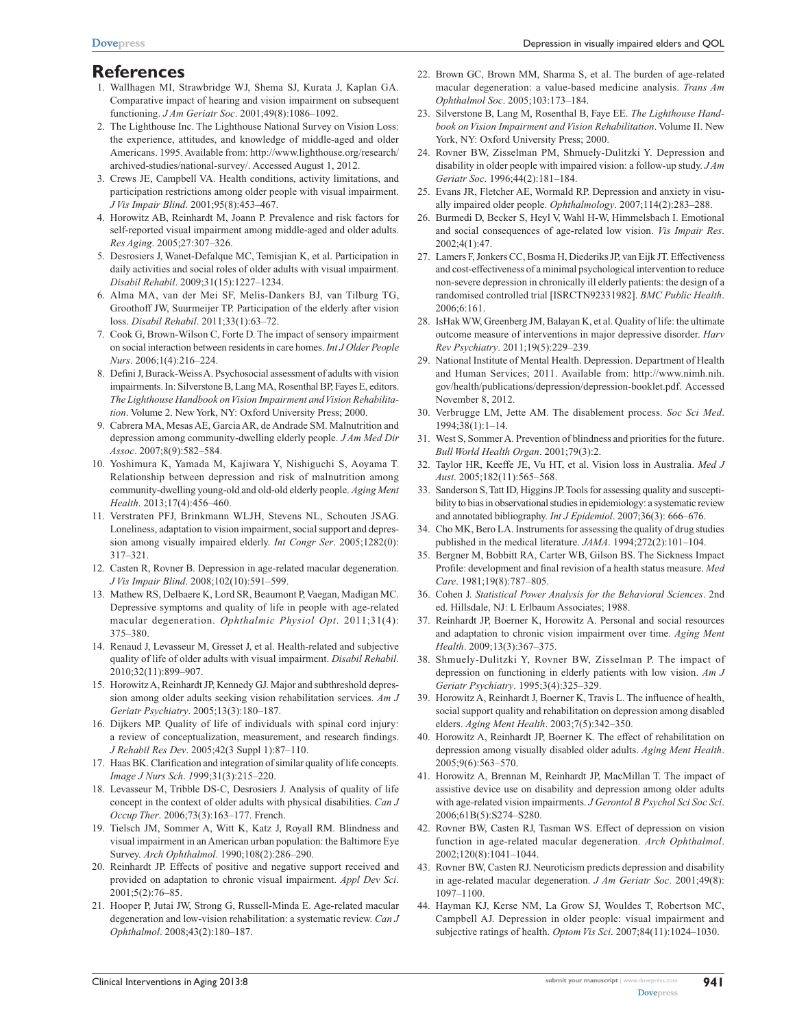### **References**

- 1. Wallhagen MI, Strawbridge WJ, Shema SJ, Kurata J, Kaplan GA. Comparative impact of hearing and vision impairment on subsequent functioning. *J Am Geriatr Soc*. 2001;49(8):1086–1092.
- 2. The Lighthouse Inc. The Lighthouse National Survey on Vision Loss: the experience, attitudes, and knowledge of middle-aged and older Americans. 1995. Available from: [http://www.lighthouse.org/research/](http://www.lighthouse.org/research/archived-studies/national-survey/) [archived-studies/national-survey/](http://www.lighthouse.org/research/archived-studies/national-survey/). Accessed August 1, 2012.
- 3. Crews JE, Campbell VA. Health conditions, activity limitations, and participation restrictions among older people with visual impairment. *J Vis Impair Blind*. 2001;95(8):453–467.
- 4. Horowitz AB, Reinhardt M, Joann P. Prevalence and risk factors for self-reported visual impairment among middle-aged and older adults. *Res Aging*. 2005;27:307–326.
- 5. Desrosiers J, Wanet-Defalque MC, Temisjian K, et al. Participation in daily activities and social roles of older adults with visual impairment. *Disabil Rehabil*. 2009;31(15):1227–1234.
- 6. Alma MA, van der Mei SF, Melis-Dankers BJ, van Tilburg TG, Groothoff JW, Suurmeijer TP. Participation of the elderly after vision loss. *Disabil Rehabil*. 2011;33(1):63–72.
- 7. Cook G, Brown-Wilson C, Forte D. The impact of sensory impairment on social interaction between residents in care homes. *Int J Older People Nurs*. 2006;1(4):216–224.
- 8. Defini J, Burack-Weiss A. Psychosocial assessment of adults with vision impairments. In: Silverstone B, Lang MA, Rosenthal BP, Fayes E, editors. *The Lighthouse Handbook on Vision Impairment and Vision Rehabilitation*. Volume 2. New York, NY: Oxford University Press; 2000.
- 9. Cabrera MA, Mesas AE, Garcia AR, de Andrade SM. Malnutrition and depression among community-dwelling elderly people. *J Am Med Dir Assoc*. 2007;8(9):582–584.
- 10. Yoshimura K, Yamada M, Kajiwara Y, Nishiguchi S, Aoyama T. Relationship between depression and risk of malnutrition among community-dwelling young-old and old-old elderly people. *Aging Ment Health*. 2013;17(4):456–460.
- 11. Verstraten PFJ, Brinkmann WLJH, Stevens NL, Schouten JSAG. Loneliness, adaptation to vision impairment, social support and depression among visually impaired elderly. *Int Congr Ser*. 2005;1282(0): 317–321.
- 12. Casten R, Rovner B. Depression in age-related macular degeneration. *J Vis Impair Blind*. 2008;102(10):591–599.
- 13. Mathew RS, Delbaere K, Lord SR, Beaumont P, Vaegan, Madigan MC. Depressive symptoms and quality of life in people with age-related macular degeneration. *Ophthalmic Physiol Opt*. 2011;31(4): 375–380.
- 14. Renaud J, Levasseur M, Gresset J, et al. Health-related and subjective quality of life of older adults with visual impairment. *Disabil Rehabil*. 2010;32(11):899–907.
- 15. Horowitz A, Reinhardt JP, Kennedy GJ. Major and subthreshold depression among older adults seeking vision rehabilitation services. *Am J Geriatr Psychiatry*. 2005;13(3):180–187.
- 16. Dijkers MP. Quality of life of individuals with spinal cord injury: a review of conceptualization, measurement, and research findings. *J Rehabil Res Dev*. 2005;42(3 Suppl 1):87–110.
- 17. Haas BK. Clarification and integration of similar quality of life concepts. *Image J Nurs Sch*. *1*999;31(3):215–220.
- 18. Levasseur M, Tribble DS-C, Desrosiers J. Analysis of quality of life concept in the context of older adults with physical disabilities. *Can J Occup Ther*. 2006;73(3):163–177. French.
- 19. Tielsch JM, Sommer A, Witt K, Katz J, Royall RM. Blindness and visual impairment in an American urban population: the Baltimore Eye Survey. *Arch Ophthalmol*. 1990;108(2):286–290.
- 20. Reinhardt JP. Effects of positive and negative support received and provided on adaptation to chronic visual impairment. *Appl Dev Sci*. 2001;5(2):76–85.
- 21. Hooper P, Jutai JW, Strong G, Russell-Minda E. Age-related macular degeneration and low-vision rehabilitation: a systematic review. *Can J Ophthalmol*. 2008;43(2):180–187.
- 22. Brown GC, Brown MM, Sharma S, et al. The burden of age-related macular degeneration: a value-based medicine analysis. *Trans Am Ophthalmol Soc*. 2005;103:173–184.
- 23. Silverstone B, Lang M, Rosenthal B, Faye EE. *The Lighthouse Handbook on Vision Impairment and Vision Rehabilitation*. Volume II. New York, NY: Oxford University Press; 2000.
- 24. Rovner BW, Zisselman PM, Shmuely-Dulitzki Y. Depression and disability in older people with impaired vision: a follow-up study. *J Am Geriatr Soc*. 1996;44(2):181–184.
- 25. Evans JR, Fletcher AE, Wormald RP. Depression and anxiety in visually impaired older people. *Ophthalmology*. 2007;114(2):283–288.
- 26. Burmedi D, Becker S, Heyl V, Wahl H-W, Himmelsbach I. Emotional and social consequences of age-related low vision. *Vis Impair Res*. 2002;4(1):47.
- 27. Lamers F, Jonkers CC, Bosma H, Diederiks JP, van Eijk JT. Effectiveness and cost-effectiveness of a minimal psychological intervention to reduce non-severe depression in chronically ill elderly patients: the design of a randomised controlled trial [ISRCTN92331982]. *BMC Public Health*. 2006;6:161.
- 28. IsHak WW, Greenberg JM, Balayan K, et al. Quality of life: the ultimate outcome measure of interventions in major depressive disorder. *Harv Rev Psychiatry*. 2011;19(5):229–239.
- 29. National Institute of Mental Health. Depression. Department of Health and Human Services; 2011. Available from: [http://www.nimh.nih.](http://www.nimh.nih.gov/health/publications/depression/depression-booklet.pdf) [gov/health/publications/depression/depression-booklet.pdf.](http://www.nimh.nih.gov/health/publications/depression/depression-booklet.pdf) Accessed November 8, 2012.
- 30. Verbrugge LM, Jette AM. The disablement process. *Soc Sci Med*. 1994;38(1):1–14.
- 31. West S, Sommer A. Prevention of blindness and priorities for the future. *Bull World Health Organ*. 2001;79(3):2.
- 32. Taylor HR, Keeffe JE, Vu HT, et al. Vision loss in Australia. *Med J Aust*. 2005;182(11):565–568.
- 33. Sanderson S, Tatt ID, Higgins JP. Tools for assessing quality and susceptibility to bias in observational studies in epidemiology: a systematic review and annotated bibliography. *Int J Epidemiol*. 2007;36(3): 666–676.
- 34. Cho MK, Bero LA. Instruments for assessing the quality of drug studies published in the medical literature. *JAMA*. 1994;272(2):101–104.
- 35. Bergner M, Bobbitt RA, Carter WB, Gilson BS. The Sickness Impact Profile: development and final revision of a health status measure. *Med Care*. 1981;19(8):787–805.
- 36. Cohen J. *Statistical Power Analysis for the Behavioral Sciences*. 2nd ed. Hillsdale, NJ: L Erlbaum Associates; 1988.
- 37. Reinhardt JP, Boerner K, Horowitz A. Personal and social resources and adaptation to chronic vision impairment over time. *Aging Ment Health*. 2009;13(3):367–375.
- 38. Shmuely-Dulitzki Y, Rovner BW, Zisselman P. The impact of depression on functioning in elderly patients with low vision. *Am J Geriatr Psychiatry*. 1995;3(4):325–329.
- 39. Horowitz A, Reinhardt J, Boerner K, Travis L. The influence of health, social support quality and rehabilitation on depression among disabled elders. *Aging Ment Health*. 2003;7(5):342–350.
- 40. Horowitz A, Reinhardt JP, Boerner K. The effect of rehabilitation on depression among visually disabled older adults. *Aging Ment Health*. 2005;9(6):563–570.
- 41. Horowitz A, Brennan M, Reinhardt JP, MacMillan T. The impact of assistive device use on disability and depression among older adults with age-related vision impairments. *J Gerontol B Psychol Sci Soc Sci*. 2006;61B(5):S274–S280.
- 42. Rovner BW, Casten RJ, Tasman WS. Effect of depression on vision function in age-related macular degeneration. *Arch Ophthalmol*. 2002;120(8):1041–1044.
- 43. Rovner BW, Casten RJ. Neuroticism predicts depression and disability in age-related macular degeneration. *J Am Geriatr Soc*. 2001;49(8): 1097–1100.
- 44. Hayman KJ, Kerse NM, La Grow SJ, Wouldes T, Robertson MC, Campbell AJ. Depression in older people: visual impairment and subjective ratings of health. *Optom Vis Sci*. 2007;84(11):1024–1030.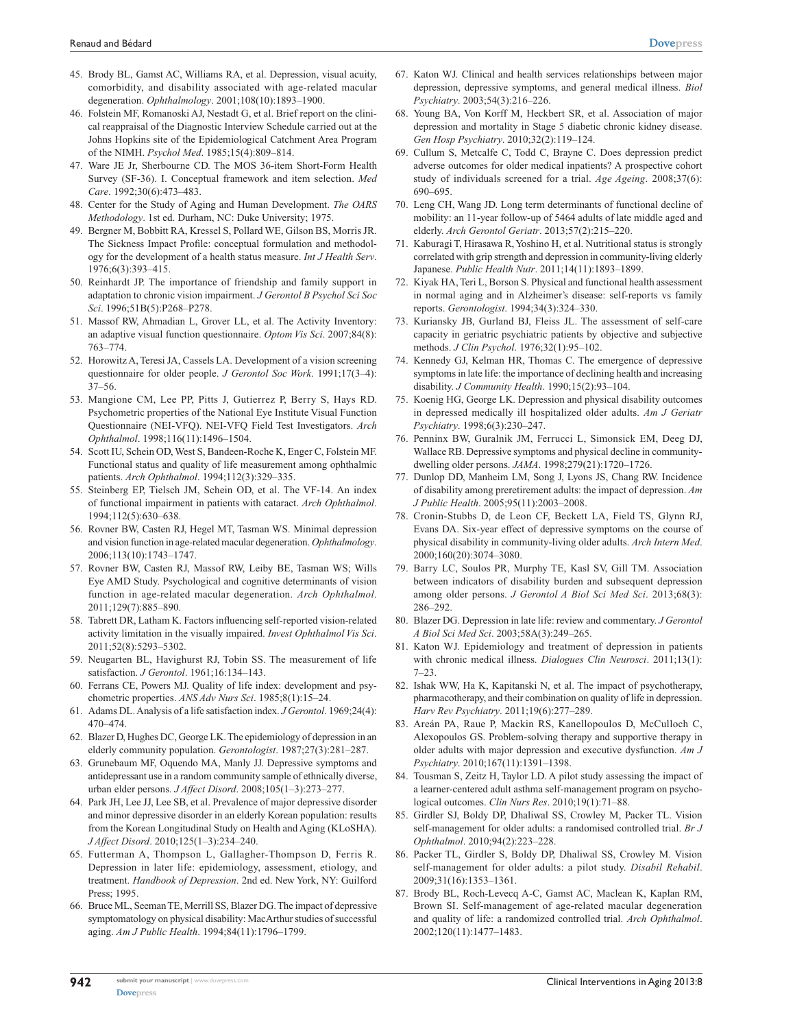- 45. Brody BL, Gamst AC, Williams RA, et al. Depression, visual acuity, comorbidity, and disability associated with age-related macular degeneration. *Ophthalmology*. 2001;108(10):1893–1900.
- 46. Folstein MF, Romanoski AJ, Nestadt G, et al. Brief report on the clinical reappraisal of the Diagnostic Interview Schedule carried out at the Johns Hopkins site of the Epidemiological Catchment Area Program of the NIMH. *Psychol Med*. 1985;15(4):809–814.
- 47. Ware JE Jr, Sherbourne CD. The MOS 36-item Short-Form Health Survey (SF-36). I. Conceptual framework and item selection. *Med Care*. 1992;30(6):473–483.
- 48. Center for the Study of Aging and Human Development. *The OARS Methodology*. 1st ed. Durham, NC: Duke University; 1975.
- 49. Bergner M, Bobbitt RA, Kressel S, Pollard WE, Gilson BS, Morris JR. The Sickness Impact Profile: conceptual formulation and methodology for the development of a health status measure. *Int J Health Serv*. 1976;6(3):393–415.
- 50. Reinhardt JP. The importance of friendship and family support in adaptation to chronic vision impairment. *J Gerontol B Psychol Sci Soc Sci*. 1996;51B(5):P268–P278.
- 51. Massof RW, Ahmadian L, Grover LL, et al. The Activity Inventory: an adaptive visual function questionnaire. *Optom Vis Sci*. 2007;84(8): 763–774.
- 52. Horowitz A, Teresi JA, Cassels LA. Development of a vision screening questionnaire for older people. *J Gerontol Soc Work*. 1991;17(3–4): 37–56.
- 53. Mangione CM, Lee PP, Pitts J, Gutierrez P, Berry S, Hays RD. Psychometric properties of the National Eye Institute Visual Function Questionnaire (NEI-VFQ). NEI-VFQ Field Test Investigators. *Arch Ophthalmol*. 1998;116(11):1496–1504.
- 54. Scott IU, Schein OD, West S, Bandeen-Roche K, Enger C, Folstein MF. Functional status and quality of life measurement among ophthalmic patients. *Arch Ophthalmol*. 1994;112(3):329–335.
- 55. Steinberg EP, Tielsch JM, Schein OD, et al. The VF-14. An index of functional impairment in patients with cataract. *Arch Ophthalmol*. 1994;112(5):630–638.
- 56. Rovner BW, Casten RJ, Hegel MT, Tasman WS. Minimal depression and vision function in age-related macular degeneration. *Ophthalmology*. 2006;113(10):1743–1747.
- 57. Rovner BW, Casten RJ, Massof RW, Leiby BE, Tasman WS; Wills Eye AMD Study. Psychological and cognitive determinants of vision function in age-related macular degeneration. *Arch Ophthalmol*. 2011;129(7):885–890.
- 58. Tabrett DR, Latham K. Factors influencing self-reported vision-related activity limitation in the visually impaired. *Invest Ophthalmol Vis Sci*. 2011;52(8):5293–5302.
- 59. Neugarten BL, Havighurst RJ, Tobin SS. The measurement of life satisfaction. *J Gerontol*. 1961;16:134–143.
- 60. Ferrans CE, Powers MJ. Quality of life index: development and psychometric properties. *ANS Adv Nurs Sci*. 1985;8(1):15–24.
- 61. Adams DL. Analysis of a life satisfaction index. *J Gerontol*. 1969;24(4): 470–474.
- 62. Blazer D, Hughes DC, George LK. The epidemiology of depression in an elderly community population. *Gerontologist*. 1987;27(3):281–287.
- 63. Grunebaum MF, Oquendo MA, Manly JJ. Depressive symptoms and antidepressant use in a random community sample of ethnically diverse, urban elder persons. *J Affect Disord*. 2008;105(1–3):273–277.
- 64. Park JH, Lee JJ, Lee SB, et al. Prevalence of major depressive disorder and minor depressive disorder in an elderly Korean population: results from the Korean Longitudinal Study on Health and Aging (KLoSHA). *J Affect Disord*. 2010;125(1–3):234–240.
- 65. Futterman A, Thompson L, Gallagher-Thompson D, Ferris R. Depression in later life: epidemiology, assessment, etiology, and treatment. *Handbook of Depression*. 2nd ed. New York, NY: Guilford Press; 1995.
- 66. Bruce ML, Seeman TE, Merrill SS, Blazer DG. The impact of depressive symptomatology on physical disability: MacArthur studies of successful aging. *Am J Public Health*. 1994;84(11):1796–1799.
- 67. Katon WJ. Clinical and health services relationships between major depression, depressive symptoms, and general medical illness. *Biol Psychiatry*. 2003;54(3):216–226.
- 68. Young BA, Von Korff M, Heckbert SR, et al. Association of major depression and mortality in Stage 5 diabetic chronic kidney disease. *Gen Hosp Psychiatry*. 2010;32(2):119–124.
- 69. Cullum S, Metcalfe C, Todd C, Brayne C. Does depression predict adverse outcomes for older medical inpatients? A prospective cohort study of individuals screened for a trial. *Age Ageing*. 2008;37(6): 690–695.
- 70. Leng CH, Wang JD. Long term determinants of functional decline of mobility: an 11-year follow-up of 5464 adults of late middle aged and elderly. *Arch Gerontol Geriatr*. 2013;57(2):215–220.
- 71. Kaburagi T, Hirasawa R, Yoshino H, et al. Nutritional status is strongly correlated with grip strength and depression in community-living elderly Japanese. *Public Health Nutr*. 2011;14(11):1893–1899.
- 72. Kiyak HA, Teri L, Borson S. Physical and functional health assessment in normal aging and in Alzheimer's disease: self-reports vs family reports. *Gerontologist*. 1994;34(3):324–330.
- 73. Kuriansky JB, Gurland BJ, Fleiss JL. The assessment of self-care capacity in geriatric psychiatric patients by objective and subjective methods. *J Clin Psychol*. 1976;32(1):95–102.
- 74. Kennedy GJ, Kelman HR, Thomas C. The emergence of depressive symptoms in late life: the importance of declining health and increasing disability. *J Community Health*. 1990;15(2):93–104.
- 75. Koenig HG, George LK. Depression and physical disability outcomes in depressed medically ill hospitalized older adults. *Am J Geriatr Psychiatry*. 1998;6(3):230–247.
- 76. Penninx BW, Guralnik JM, Ferrucci L, Simonsick EM, Deeg DJ, Wallace RB. Depressive symptoms and physical decline in communitydwelling older persons. *JAMA*. 1998;279(21):1720–1726.
- 77. Dunlop DD, Manheim LM, Song J, Lyons JS, Chang RW. Incidence of disability among preretirement adults: the impact of depression. *Am J Public Health*. 2005;95(11):2003–2008.
- 78. Cronin-Stubbs D, de Leon CF, Beckett LA, Field TS, Glynn RJ, Evans DA. Six-year effect of depressive symptoms on the course of physical disability in community-living older adults. *Arch Intern Med*. 2000;160(20):3074–3080.
- 79. Barry LC, Soulos PR, Murphy TE, Kasl SV, Gill TM. Association between indicators of disability burden and subsequent depression among older persons. *J Gerontol A Biol Sci Med Sci*. 2013;68(3): 286–292.
- 80. Blazer DG. Depression in late life: review and commentary. *J Gerontol A Biol Sci Med Sci*. 2003;58A(3):249–265.
- 81. Katon WJ. Epidemiology and treatment of depression in patients with chronic medical illness. *Dialogues Clin Neurosci*. 2011;13(1): 7–23.
- 82. Ishak WW, Ha K, Kapitanski N, et al. The impact of psychotherapy, pharmacotherapy, and their combination on quality of life in depression. *Harv Rev Psychiatry*. 2011;19(6):277–289.
- 83. Areán PA, Raue P, Mackin RS, Kanellopoulos D, McCulloch C, Alexopoulos GS. Problem-solving therapy and supportive therapy in older adults with major depression and executive dysfunction. *Am J Psychiatry*. 2010;167(11):1391–1398.
- 84. Tousman S, Zeitz H, Taylor LD. A pilot study assessing the impact of a learner-centered adult asthma self-management program on psychological outcomes. *Clin Nurs Res*. 2010;19(1):71–88.
- 85. Girdler SJ, Boldy DP, Dhaliwal SS, Crowley M, Packer TL. Vision self-management for older adults: a randomised controlled trial. *Br J Ophthalmol*. 2010;94(2):223–228.
- 86. Packer TL, Girdler S, Boldy DP, Dhaliwal SS, Crowley M. Vision self-management for older adults: a pilot study. *Disabil Rehabil*. 2009;31(16):1353–1361.
- 87. Brody BL, Roch-Levecq A-C, Gamst AC, Maclean K, Kaplan RM, Brown SI. Self-management of age-related macular degeneration and quality of life: a randomized controlled trial. *Arch Ophthalmol*. 2002;120(11):1477–1483.